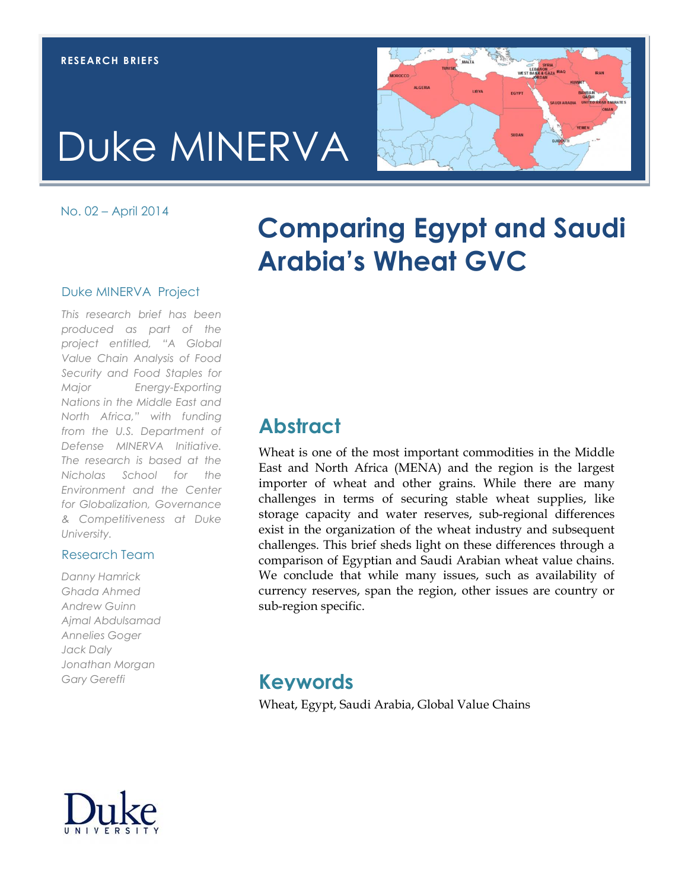# Duke MINERVA

No. 02 – April 2014

## **Comparing Egypt and Saudi Arabia's Wheat GVC**

#### Duke MINERVA Project

*This research brief has been produced as part of the project entitled, "A Global Value Chain Analysis of Food Security and Food Staples for Major Energy-Exporting Nations in the Middle East and North Africa," with funding from the U.S. Department of Defense MINERVA Initiative. The research is based at the Nicholas School for the Environment and the Center for Globalization, Governance & Competitiveness at Duke University.*

### Research Team

*Danny Hamrick Ghada Ahmed Andrew Guinn Ajmal Abdulsamad Annelies Goger Jack Daly Jonathan Morgan Gary Gereffi*

### **Abstract**

Wheat is one of the most important commodities in the Middle East and North Africa (MENA) and the region is the largest importer of wheat and other grains. While there are many challenges in terms of securing stable wheat supplies, like storage capacity and water reserves, sub-regional differences exist in the organization of the wheat industry and subsequent challenges. This brief sheds light on these differences through a comparison of Egyptian and Saudi Arabian wheat value chains. We conclude that while many issues, such as availability of currency reserves, span the region, other issues are country or sub-region specific.

### **Keywords**

Wheat, Egypt, Saudi Arabia, Global Value Chains



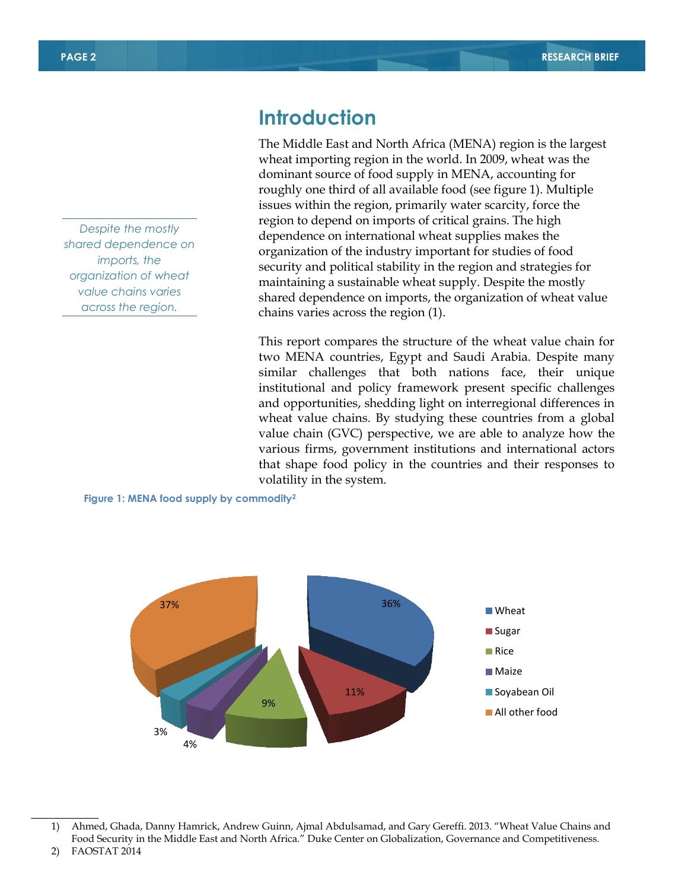*Despite the mostly shared dependence on imports, the organization of wheat value chains varies across the region.*

### **Introduction**

The Middle East and North Africa (MENA) region is the largest wheat importing region in the world. In 2009, wheat was the dominant source of food supply in MENA, accounting for roughly one third of all available food (see figure 1). Multiple issues within the region, primarily water scarcity, force the region to depend on imports of critical grains. The high dependence on international wheat supplies makes the organization of the industry important for studies of food security and political stability in the region and strategies for maintaining a sustainable wheat supply. Despite the mostly shared dependence on imports, the organization of wheat value chains varies across the region (1).

This report compares the structure of the wheat value chain for two MENA countries, Egypt and Saudi Arabia. Despite many similar challenges that both nations face, their unique institutional and policy framework present specific challenges and opportunities, shedding light on interregional differences in wheat value chains. By studying these countries from a global value chain (GVC) perspective, we are able to analyze how the various firms, government institutions and international actors that shape food policy in the countries and their responses to volatility in the system.

**Figure 1: MENA food supply by commodity<sup>2</sup>**



 $\overline{\phantom{a}}$ 

<sup>1)</sup> Ahmed, Ghada, Danny Hamrick, Andrew Guinn, Ajmal Abdulsamad, and Gary Gereffi. 2013. "Wheat Value Chains and Food Security in the Middle East and North Africa." Duke Center on Globalization, Governance and Competitiveness.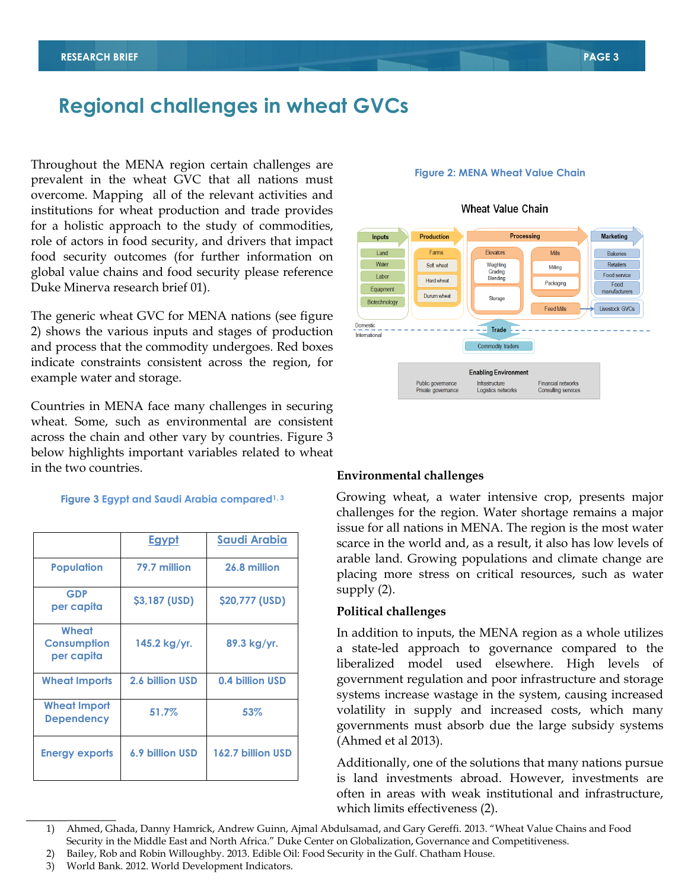### **Regional challenges in wheat GVCs**

Throughout the MENA region certain challenges are prevalent in the wheat GVC that all nations must overcome. Mapping all of the relevant activities and institutions for wheat production and trade provides for a holistic approach to the study of commodities, role of actors in food security, and drivers that impact food security outcomes (for further information on global value chains and food security please reference Duke Minerva research brief 01).

The generic wheat GVC for MENA nations (see figure 2) shows the various inputs and stages of production and process that the commodity undergoes. Red boxes indicate constraints consistent across the region, for example water and storage.

Countries in MENA face many challenges in securing wheat. Some, such as environmental are consistent across the chain and other vary by countries. Figure 3 below highlights important variables related to wheat in the two countries. **Environmental challenges**

#### **Figure 3 Egypt and Saudi Arabia compared1, 3**

|                                           | Egypt           | <b>Saudi Arabia</b> |
|-------------------------------------------|-----------------|---------------------|
| Population                                | 79.7 million    | 26.8 million        |
| <b>GDP</b><br>per capita                  | \$3,187 (USD)   | \$20,777 (USD)      |
| Wheat<br><b>Consumption</b><br>per capita | 145.2 kg/yr.    | 89.3 kg/yr.         |
| <b>Wheat Imports</b>                      | 2.6 billion USD | 0.4 billion USD     |
| <b>Wheat Import</b><br><b>Dependency</b>  | 51.7%           | 53%                 |
| <b>Energy exports</b>                     | 6.9 billion USD | 162.7 billion USD   |

#### **Figure 2: MENA Wheat Value Chain**



#### **Wheat Value Chain**

Growing wheat, a water intensive crop, presents major challenges for the region. Water shortage remains a major issue for all nations in MENA. The region is the most water scarce in the world and, as a result, it also has low levels of arable land. Growing populations and climate change are placing more stress on critical resources, such as water supply (2).

#### **Political challenges**

In addition to inputs, the MENA region as a whole utilizes a state-led approach to governance compared to the liberalized model used elsewhere. High levels of government regulation and poor infrastructure and storage systems increase wastage in the system, causing increased volatility in supply and increased costs, which many governments must absorb due the large subsidy systems (Ahmed et al 2013).

Additionally, one of the solutions that many nations pursue is land investments abroad. However, investments are often in areas with weak institutional and infrastructure, which limits effectiveness (2).

 $\overline{\phantom{a}}$  , where  $\overline{\phantom{a}}$ 

<sup>1)</sup> Ahmed, Ghada, Danny Hamrick, Andrew Guinn, Ajmal Abdulsamad, and Gary Gereffi. 2013. "Wheat Value Chains and Food Security in the Middle East and North Africa." Duke Center on Globalization, Governance and Competitiveness.

<sup>2)</sup> Bailey, Rob and Robin Willoughby. 2013. Edible Oil: Food Security in the Gulf. Chatham House.

<sup>3)</sup> World Bank. 2012. World Development Indicators.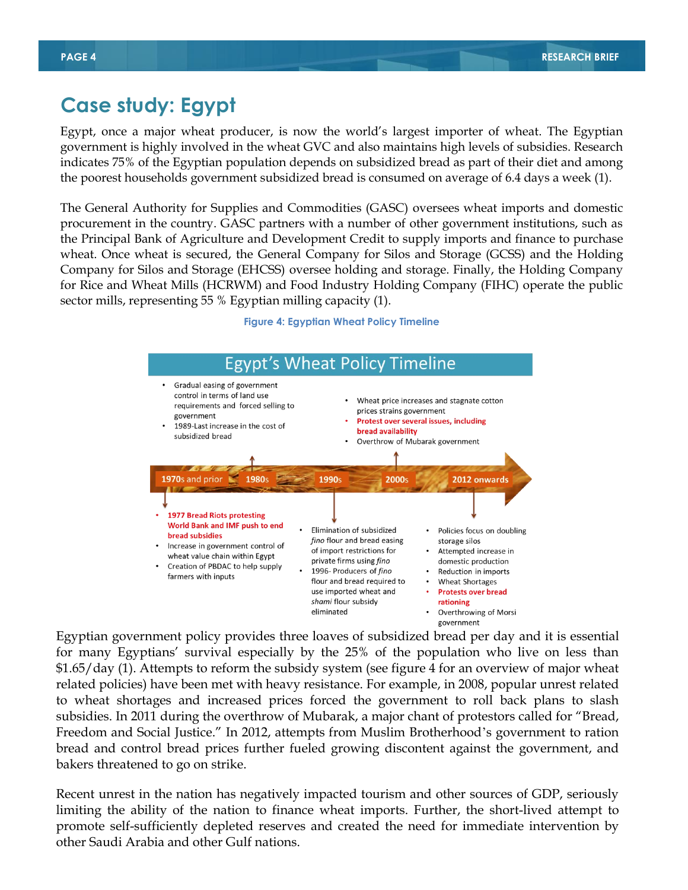### **Case study: Egypt**

Egypt, once a major wheat producer, is now the world's largest importer of wheat. The Egyptian government is highly involved in the wheat GVC and also maintains high levels of subsidies. Research indicates 75% of the Egyptian population depends on subsidized bread as part of their diet and among the poorest households government subsidized bread is consumed on average of 6.4 days a week (1).

The General Authority for Supplies and Commodities (GASC) oversees wheat imports and domestic procurement in the country. GASC partners with a number of other government institutions, such as the Principal Bank of Agriculture and Development Credit to supply imports and finance to purchase wheat. Once wheat is secured, the General Company for Silos and Storage (GCSS) and the Holding Company for Silos and Storage (EHCSS) oversee holding and storage. Finally, the Holding Company for Rice and Wheat Mills (HCRWM) and Food Industry Holding Company (FIHC) operate the public sector mills, representing 55 % Egyptian milling capacity (1).



### **Figure 4: Egyptian Wheat Policy Timeline**

Egyptian government policy provides three loaves of subsidized bread per day and it is essential for many Egyptians' survival especially by the 25% of the population who live on less than \$1.65/day (1). Attempts to reform the subsidy system (see figure 4 for an overview of major wheat related policies) have been met with heavy resistance. For example, in 2008, popular unrest related to wheat shortages and increased prices forced the government to roll back plans to slash subsidies. In 2011 during the overthrow of Mubarak, a major chant of protestors called for "Bread, Freedom and Social Justice." In 2012, attempts from Muslim Brotherhood's government to ration bread and control bread prices further fueled growing discontent against the government, and bakers threatened to go on strike.

Recent unrest in the nation has negatively impacted tourism and other sources of GDP, seriously limiting the ability of the nation to finance wheat imports. Further, the short-lived attempt to promote self-sufficiently depleted reserves and created the need for immediate intervention by other Saudi Arabia and other Gulf nations.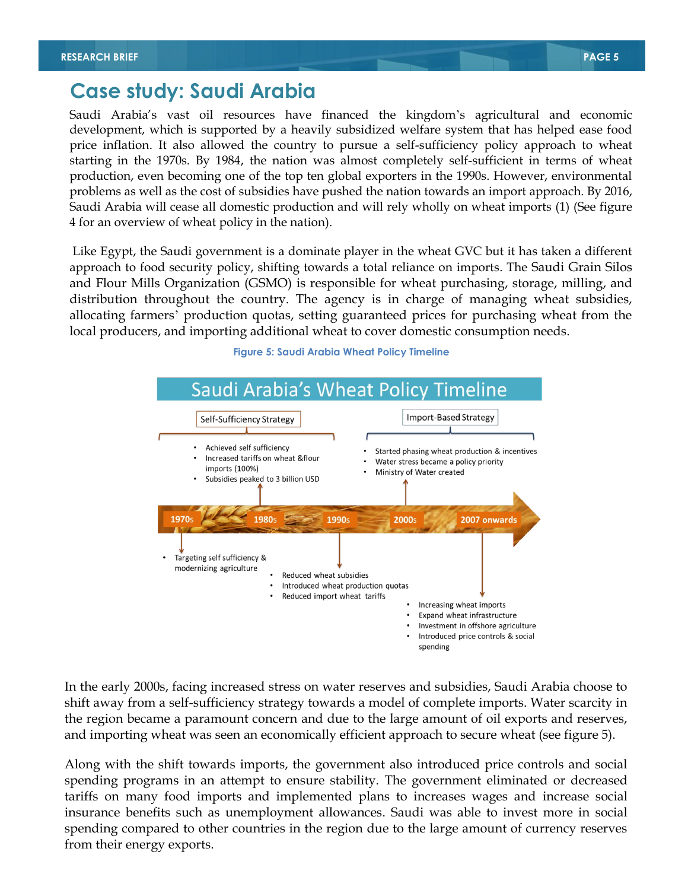### **Case study: Saudi Arabia**

Saudi Arabia's vast oil resources have financed the kingdom's agricultural and economic development, which is supported by a heavily subsidized welfare system that has helped ease food price inflation. It also allowed the country to pursue a self-sufficiency policy approach to wheat starting in the 1970s. By 1984, the nation was almost completely self-sufficient in terms of wheat production, even becoming one of the top ten global exporters in the 1990s. However, environmental problems as well as the cost of subsidies have pushed the nation towards an import approach. By 2016, Saudi Arabia will cease all domestic production and will rely wholly on wheat imports (1) (See figure 4 for an overview of wheat policy in the nation).

Like Egypt, the Saudi government is a dominate player in the wheat GVC but it has taken a different approach to food security policy, shifting towards a total reliance on imports. The Saudi Grain Silos and Flour Mills Organization (GSMO) is responsible for wheat purchasing, storage, milling, and distribution throughout the country. The agency is in charge of managing wheat subsidies, allocating farmers' production quotas, setting guaranteed prices for purchasing wheat from the local producers, and importing additional wheat to cover domestic consumption needs.



**Figure 5: Saudi Arabia Wheat Policy Timeline**

In the early 2000s, facing increased stress on water reserves and subsidies, Saudi Arabia choose to shift away from a self-sufficiency strategy towards a model of complete imports. Water scarcity in the region became a paramount concern and due to the large amount of oil exports and reserves, and importing wheat was seen an economically efficient approach to secure wheat (see figure 5).

Along with the shift towards imports, the government also introduced price controls and social spending programs in an attempt to ensure stability. The government eliminated or decreased tariffs on many food imports and implemented plans to increases wages and increase social insurance benefits such as unemployment allowances. Saudi was able to invest more in social spending compared to other countries in the region due to the large amount of currency reserves from their energy exports.